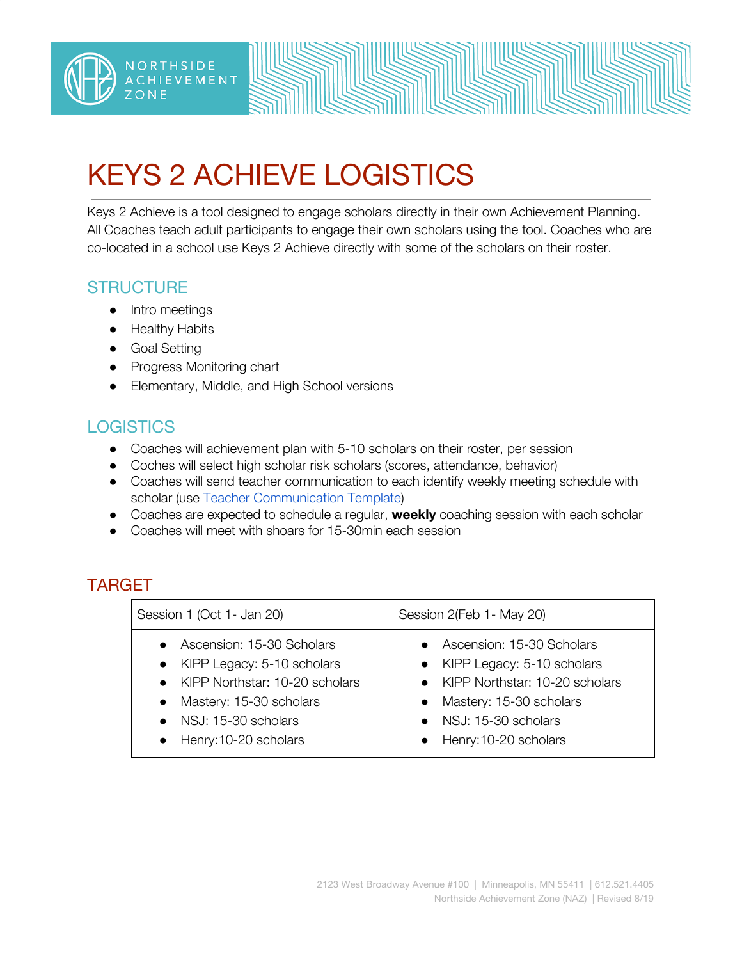

# KEYS 2 ACHIEVE LOGISTICS

Keys 2 Achieve is a tool designed to engage scholars directly in their own Achievement Planning. All Coaches teach adult participants to engage their own scholars using the tool. Coaches who are co-located in a school use Keys 2 Achieve directly with some of the scholars on their roster.

#### **STRUCTURE**

- Intro meetings
- Healthy Habits
- Goal Setting
- Progress Monitoring chart
- Elementary, Middle, and High School versions

## **LOGISTICS**

- Coaches will achievement plan with 5-10 scholars on their roster, per session
- Coches will select high scholar risk scholars (scores, attendance, behavior)
- Coaches will send teacher communication to each identify weekly meeting schedule with scholar (use Teacher [Communication](https://docs.google.com/document/d/1W6C_lpAOXqk4wWas4pcsNSNxl7u04BFOoysuJo8BMp8/edit) Template)
- Coaches are expected to schedule a regular, **weekly** coaching session with each scholar
- Coaches will meet with shoars for 15-30min each session

## TARGET

| Session 1 (Oct 1- Jan 20)                                                                                                                                                                                        | Session 2(Feb 1- May 20)                                                                                                                                                                |
|------------------------------------------------------------------------------------------------------------------------------------------------------------------------------------------------------------------|-----------------------------------------------------------------------------------------------------------------------------------------------------------------------------------------|
| Ascension: 15-30 Scholars<br>$\bullet$<br>KIPP Legacy: 5-10 scholars<br>$\bullet$<br>• KIPP Northstar: 10-20 scholars<br>Mastery: 15-30 scholars<br>$\bullet$<br>• NSJ: 15-30 scholars<br>• Henry:10-20 scholars | • Ascension: 15-30 Scholars<br>• KIPP Legacy: 5-10 scholars<br>• KIPP Northstar: 10-20 scholars<br>• Mastery: 15-30 scholars<br>$\bullet$ NSJ: 15-30 scholars<br>• Henry:10-20 scholars |